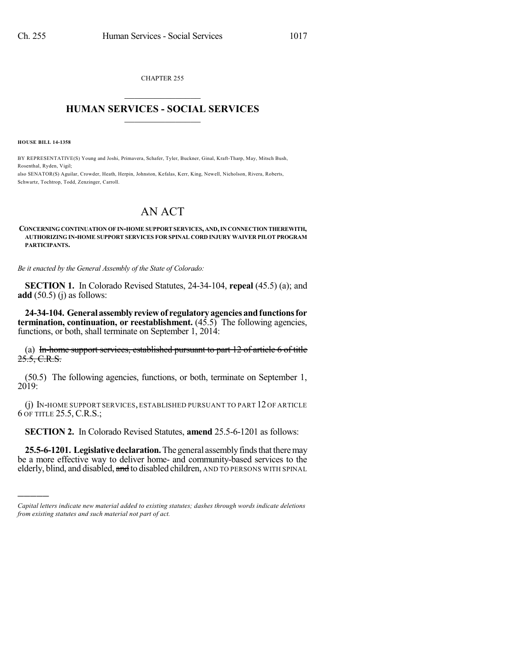CHAPTER 255  $\overline{\phantom{a}}$  . The set of the set of the set of the set of the set of the set of the set of the set of the set of the set of the set of the set of the set of the set of the set of the set of the set of the set of the set o

## **HUMAN SERVICES - SOCIAL SERVICES**  $\frac{1}{2}$  ,  $\frac{1}{2}$  ,  $\frac{1}{2}$  ,  $\frac{1}{2}$  ,  $\frac{1}{2}$  ,  $\frac{1}{2}$  ,  $\frac{1}{2}$

**HOUSE BILL 14-1358**

)))))

BY REPRESENTATIVE(S) Young and Joshi, Primavera, Schafer, Tyler, Buckner, Ginal, Kraft-Tharp, May, Mitsch Bush, Rosenthal, Ryden, Vigil; also SENATOR(S) Aguilar, Crowder, Heath, Herpin, Johnston, Kefalas, Kerr, King, Newell, Nicholson, Rivera, Roberts,

Schwartz, Tochtrop, Todd, Zenzinger, Carroll.

## AN ACT

## **CONCERNING CONTINUATION OF IN-HOME SUPPORTSERVICES, AND,IN CONNECTION THEREWITH, AUTHORIZING IN-HOME SUPPORT SERVICES FOR SPINAL CORD INJURY WAIVER PILOT PROGRAM PARTICIPANTS.**

*Be it enacted by the General Assembly of the State of Colorado:*

**SECTION 1.** In Colorado Revised Statutes, 24-34-104, **repeal** (45.5) (a); and **add** (50.5) (j) as follows:

**24-34-104. Generalassemblyreviewof regulatoryagenciesandfunctionsfor termination, continuation, or reestablishment.** (45.5) The following agencies, functions, or both, shall terminate on September 1, 2014:

(a) In-home support services, established pursuant to part 12 of article 6 of title  $25.5, C.R.S.$ 

(50.5) The following agencies, functions, or both, terminate on September 1, 2019:

(j) IN-HOME SUPPORT SERVICES, ESTABLISHED PURSUANT TO PART 12 OF ARTICLE 6 OF TITLE 25.5, C.R.S.;

**SECTION 2.** In Colorado Revised Statutes, **amend** 25.5-6-1201 as follows:

**25.5-6-1201. Legislative declaration.** The general assembly finds that there may be a more effective way to deliver home- and community-based services to the elderly, blind, and disabled, and to disabled children, AND TO PERSONS WITH SPINAL

*Capital letters indicate new material added to existing statutes; dashes through words indicate deletions from existing statutes and such material not part of act.*